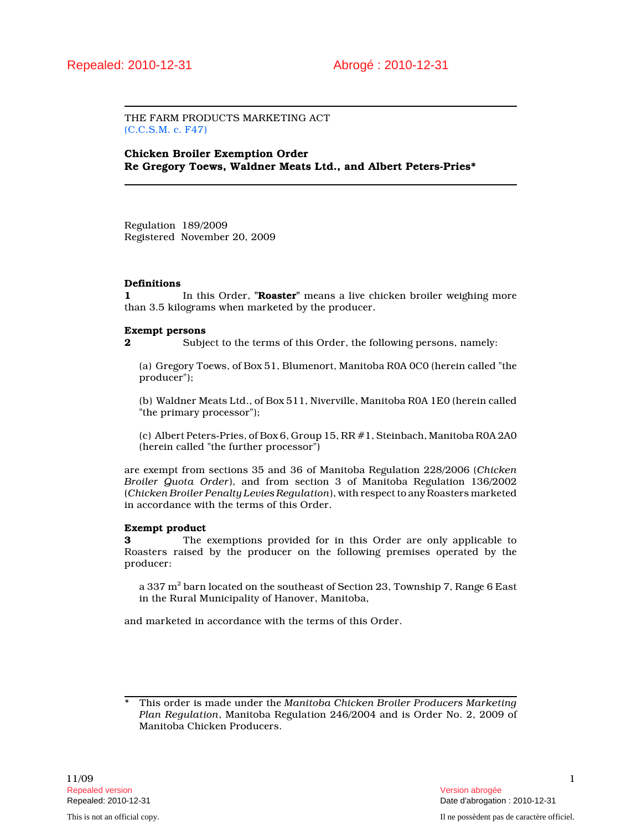THE FARM PRODUCTS MARKETING ACT (C.C.S.M. c. F47)

Chicken Broiler Exemption Order Re Gregory Toews, Waldner Meats Ltd., and Albert Peters-Pries\*

Regulation 189/2009 Registered November 20, 2009

#### Definitions

1 In this Order, "**Roaster**" means a live chicken broiler weighing more than 3.5 kilograms when marketed by the producer.

#### Exempt persons

2 Subject to the terms of this Order, the following persons, namely:

(a) Gregory Toews, of Box 51, Blumenort, Manitoba R0A 0C0 (herein called "the producer");

(b) Waldner Meats Ltd., of Box 511, Niverville, Manitoba R0A 1E0 (herein called "the primary processor");

(c) Albert Peters-Pries, of Box 6, Group 15, RR #1, Steinbach, Manitoba R0A 2A0 (herein called "the further processor")

are exempt from sections 35 and 36 of Manitoba Regulation 228/2006 (Chicken Broiler Quota Order), and from section 3 of Manitoba Regulation 136/2002 (Chicken Broiler Penalty Levies Regulation), with respect to any Roasters marketed in accordance with the terms of this Order.

### Exempt product

3 The exemptions provided for in this Order are only applicable to Roasters raised by the producer on the following premises operated by the producer:

a 337 m $^{\rm 2}$  barn located on the southeast of Section 23, Township 7, Range 6 East in the Rural Municipality of Hanover, Manitoba,

and marketed in accordance with the terms of this Order.

This order is made under the Manitoba Chicken Broiler Producers Marketing Plan Regulation, Manitoba Regulation 246/2004 and is Order No. 2, 2009 of Manitoba Chicken Producers.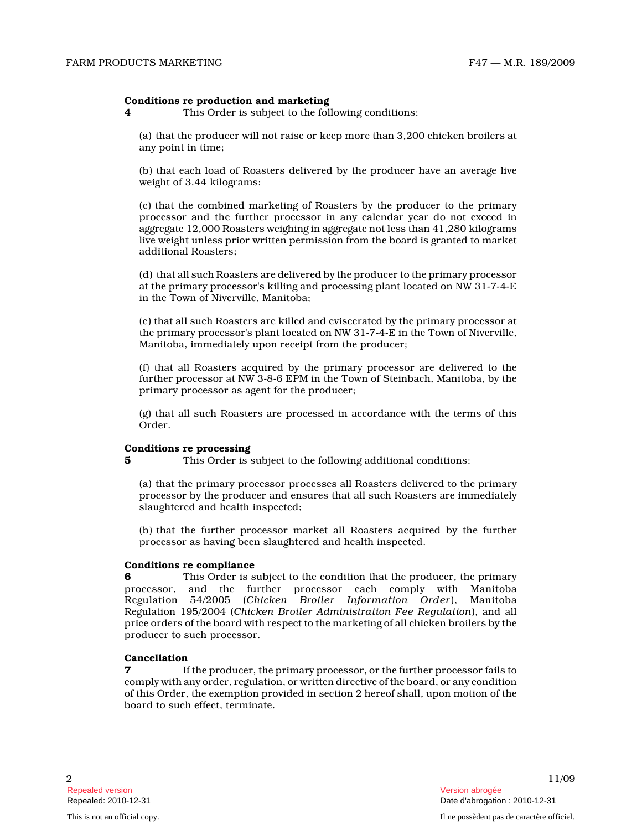### Conditions re production and marketing

4 This Order is subject to the following conditions:

(a) that the producer will not raise or keep more than 3,200 chicken broilers at any point in time;

(b) that each load of Roasters delivered by the producer have an average live weight of 3.44 kilograms;

(c) that the combined marketing of Roasters by the producer to the primary processor and the further processor in any calendar year do not exceed in aggregate 12,000 Roasters weighing in aggregate not less than 41,280 kilograms live weight unless prior written permission from the board is granted to market additional Roasters;

(d) that all such Roasters are delivered by the producer to the primary processor at the primary processor's killing and processing plant located on NW 31-7-4-E in the Town of Niverville, Manitoba;

(e) that all such Roasters are killed and eviscerated by the primary processor at the primary processor's plant located on NW 31-7-4-E in the Town of Niverville, Manitoba, immediately upon receipt from the producer;

(f) that all Roasters acquired by the primary processor are delivered to the further processor at NW 3-8-6 EPM in the Town of Steinbach, Manitoba, by the primary processor as agent for the producer;

(g) that all such Roasters are processed in accordance with the terms of this Order.

# Conditions re processing

5 This Order is subject to the following additional conditions:

(a) that the primary processor processes all Roasters delivered to the primary processor by the producer and ensures that all such Roasters are immediately slaughtered and health inspected;

(b) that the further processor market all Roasters acquired by the further processor as having been slaughtered and health inspected.

### Conditions re compliance

6 This Order is subject to the condition that the producer, the primary processor, and the further processor each comply with Manitoba Regulation 54/2005 (Chicken Broiler Information Order), Manitoba Regulation 195/2004 (Chicken Broiler Administration Fee Regulation), and all price orders of the board with respect to the marketing of all chicken broilers by the producer to such processor.

### Cancellation

7 If the producer, the primary processor, or the further processor fails to comply with any order, regulation, or written directive of the board, or any condition of this Order, the exemption provided in section 2 hereof shall, upon motion of the board to such effect, terminate.